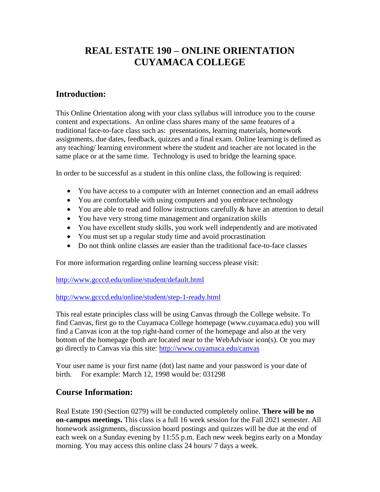## **REAL ESTATE 190 – ONLINE ORIENTATION CUYAMACA COLLEGE**

## **Introduction:**

This Online Orientation along with your class syllabus will introduce you to the course content and expectations. An online class shares many of the same features of a traditional face-to-face class such as: presentations, learning materials, homework assignments, due dates, feedback, quizzes and a final exam. Online learning is defined as any teaching/ learning environment where the student and teacher are not located in the same place or at the same time. Technology is used to bridge the learning space.

In order to be successful as a student in this online class, the following is required:

- You have access to a computer with an Internet connection and an email address
- You are comfortable with using computers and you embrace technology
- You are able to read and follow instructions carefully & have an attention to detail
- You have very strong time management and organization skills
- You have excellent study skills, you work well independently and are motivated
- You must set up a regular study time and avoid procrastination
- Do not think online classes are easier than the traditional face-to-face classes

For more information regarding online learning success please visit:

<http://www.gcccd.edu/online/student/default.html>

<http://www.gcccd.edu/online/student/step-1-ready.html>

This real estate principles class will be using Canvas through the College website. To find Canvas, first go to the Cuyamaca College homepage (www.cuyamaca.edu) you will find a Canvas icon at the top right-hand corner of the homepage and also at the very bottom of the homepage (both are located near to the WebAdvisor icon(s). Or you may go directly to Canvas via this site: [http://www.cuyamaca.edu/canvas](https://www.cuyamaca.edu/canvas) 

Your user name is your first name (dot) last name and your password is your date of birth. For example: March 12, 1998 would be: 031298

## **Course Information:**

Real Estate 190 (Section 0279) will be conducted completely online. **There will be no on-campus meetings.** This class is a full 16 week session for the Fall 2021 semester. All homework assignments, discussion board postings and quizzes will be due at the end of each week on a Sunday evening by 11:55 p.m. Each new week begins early on a Monday morning. You may access this online class 24 hours/ 7 days a week.